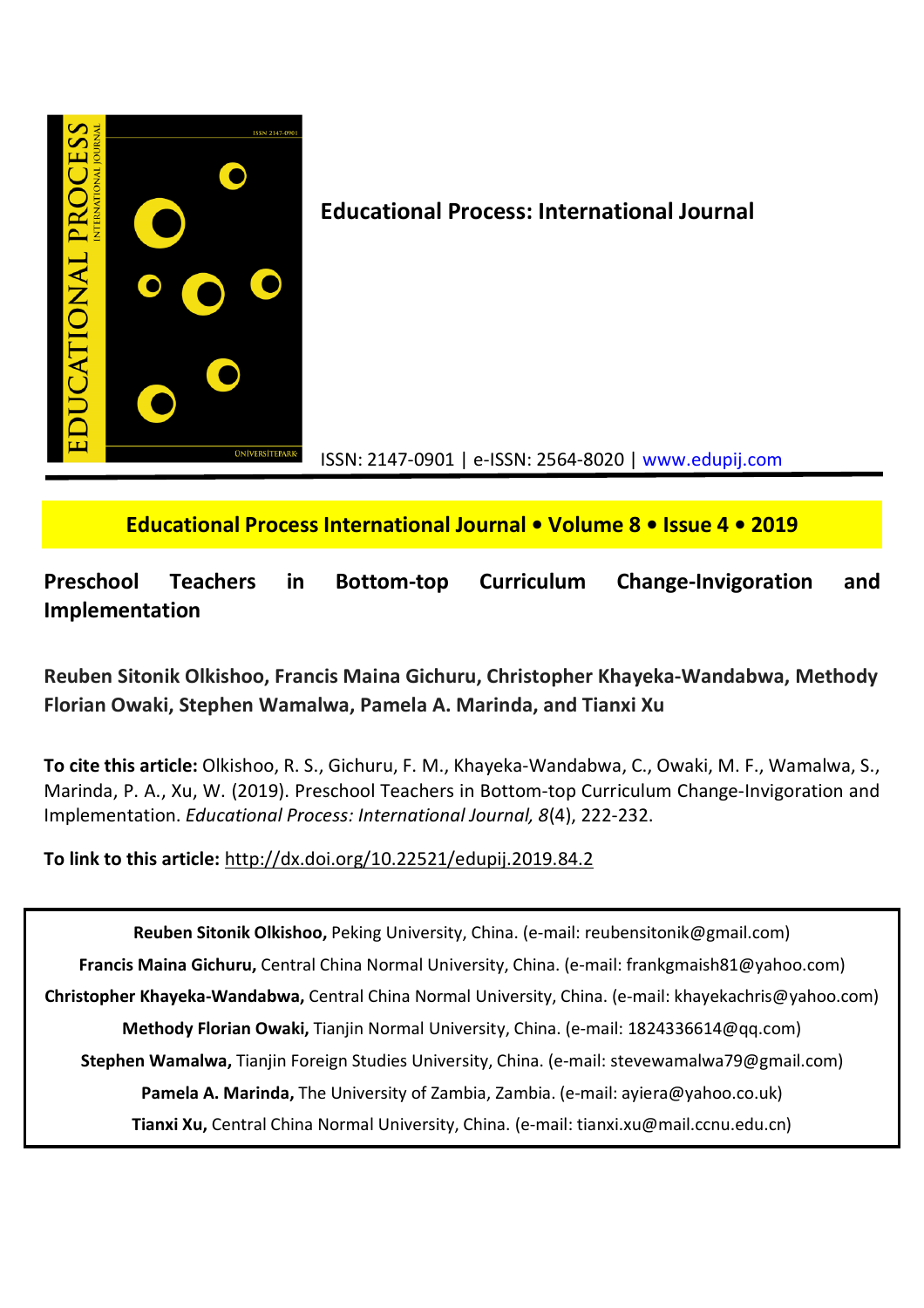

**Educational Process: International Journal**

ISSN: 2147-0901 | e-ISSN: 2564-8020 | www.edupij.com

**Educational Process International Journal • Volume 8 • Issue 4 • 2019**

**Preschool Teachers in Bottom-top Curriculum Change-Invigoration and Implementation**

# **Reuben Sitonik Olkishoo, Francis Maina Gichuru, Christopher Khayeka-Wandabwa, Methody Florian Owaki, Stephen Wamalwa, Pamela A. Marinda, and Tianxi Xu**

**To cite this article:** Olkishoo, R. S., Gichuru, F. M., Khayeka-Wandabwa, C., Owaki, M. F., Wamalwa, S., Marinda, P. A., Xu, W. (2019). Preschool Teachers in Bottom-top Curriculum Change-Invigoration and Implementation. *Educational Process: International Journal, 8*(4), 222-232.

**To link to this article:** http://dx.doi.org/10.22521/edupij.2019.84.2

**Reuben Sitonik Olkishoo,** Peking University, China. (e-mail: reubensitonik@gmail.com) **Francis Maina Gichuru,** Central China Normal University, China. (e-mail: frankgmaish81@yahoo.com) **Christopher Khayeka-Wandabwa,** Central China Normal University, China. (e-mail: khayekachris@yahoo.com) **Methody Florian Owaki,** Tianjin Normal University, China. (e-mail: 1824336614@qq.com) **Stephen Wamalwa,** Tianjin Foreign Studies University, China. (e-mail: stevewamalwa79@gmail.com) **Pamela A. Marinda,** The University of Zambia, Zambia. (e-mail: ayiera@yahoo.co.uk) **Tianxi Xu,** Central China Normal University, China. (e-mail: tianxi.xu@mail.ccnu.edu.cn)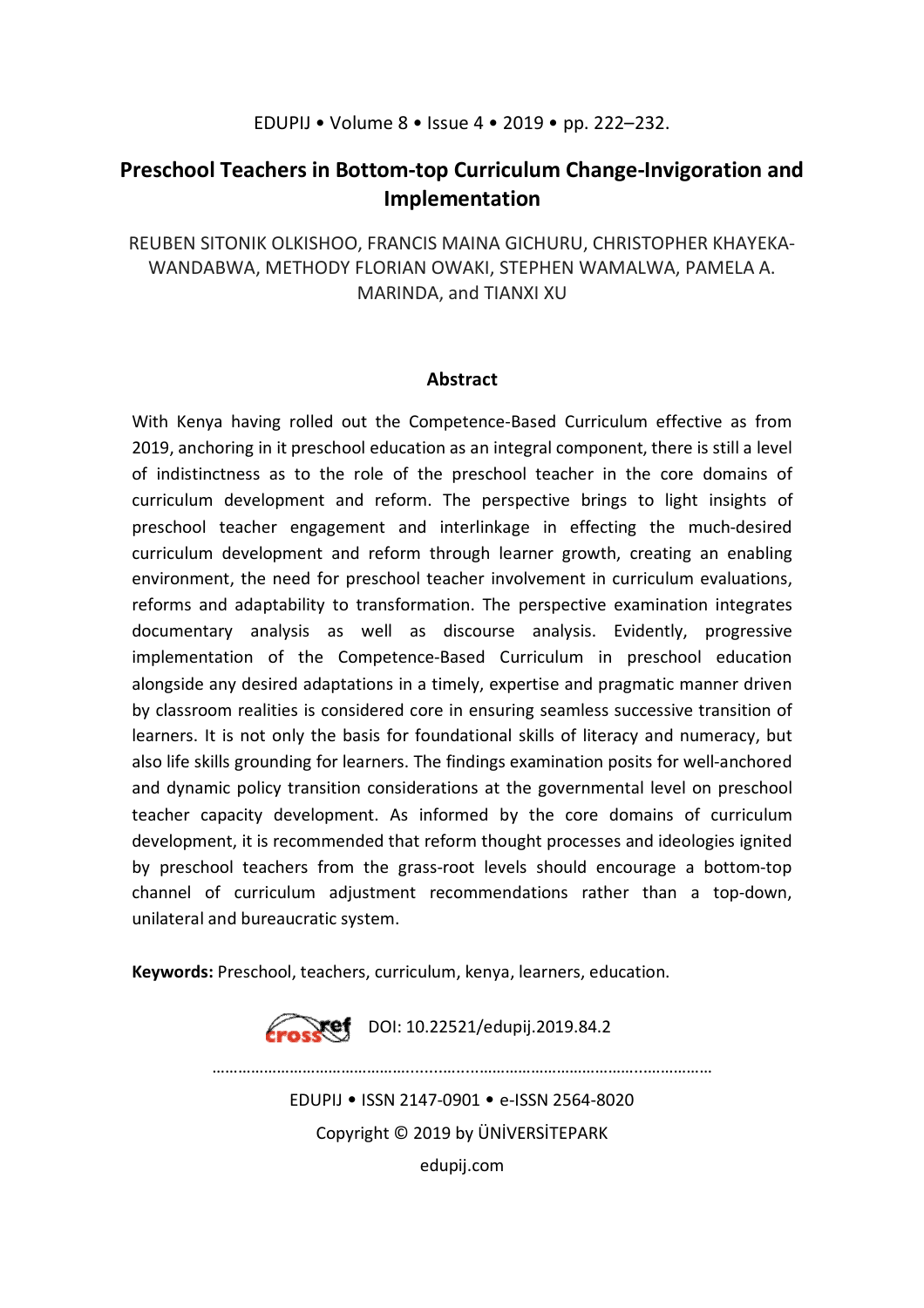# **Preschool Teachers in Bottom-top Curriculum Change-Invigoration and Implementation**

REUBEN SITONIK OLKISHOO, FRANCIS MAINA GICHURU, CHRISTOPHER KHAYEKA-WANDABWA, METHODY FLORIAN OWAKI, STEPHEN WAMALWA, PAMELA A. MARINDA, and TIANXI XU

### **Abstract**

With Kenya having rolled out the Competence-Based Curriculum effective as from 2019, anchoring in it preschool education as an integral component, there is still a level of indistinctness as to the role of the preschool teacher in the core domains of curriculum development and reform. The perspective brings to light insights of preschool teacher engagement and interlinkage in effecting the much-desired curriculum development and reform through learner growth, creating an enabling environment, the need for preschool teacher involvement in curriculum evaluations, reforms and adaptability to transformation. The perspective examination integrates documentary analysis as well as discourse analysis. Evidently, progressive implementation of the Competence-Based Curriculum in preschool education alongside any desired adaptations in a timely, expertise and pragmatic manner driven by classroom realities is considered core in ensuring seamless successive transition of learners. It is not only the basis for foundational skills of literacy and numeracy, but also life skills grounding for learners. The findings examination posits for well-anchored and dynamic policy transition considerations at the governmental level on preschool teacher capacity development. As informed by the core domains of curriculum development, it is recommended that reform thought processes and ideologies ignited by preschool teachers from the grass-root levels should encourage a bottom-top channel of curriculum adjustment recommendations rather than a top-down, unilateral and bureaucratic system.

**Keywords:** Preschool, teachers, curriculum, kenya, learners, education.

**Crosset** DOI: 10.22521/edupij.2019.84.2  $\mathcal{L}^{\text{max}}$ EDUPIJ • ISSN 2147-0901 • e-ISSN 2564-8020 Copyright © 2019 by ÜNİVERSİTEPARK

edupij.com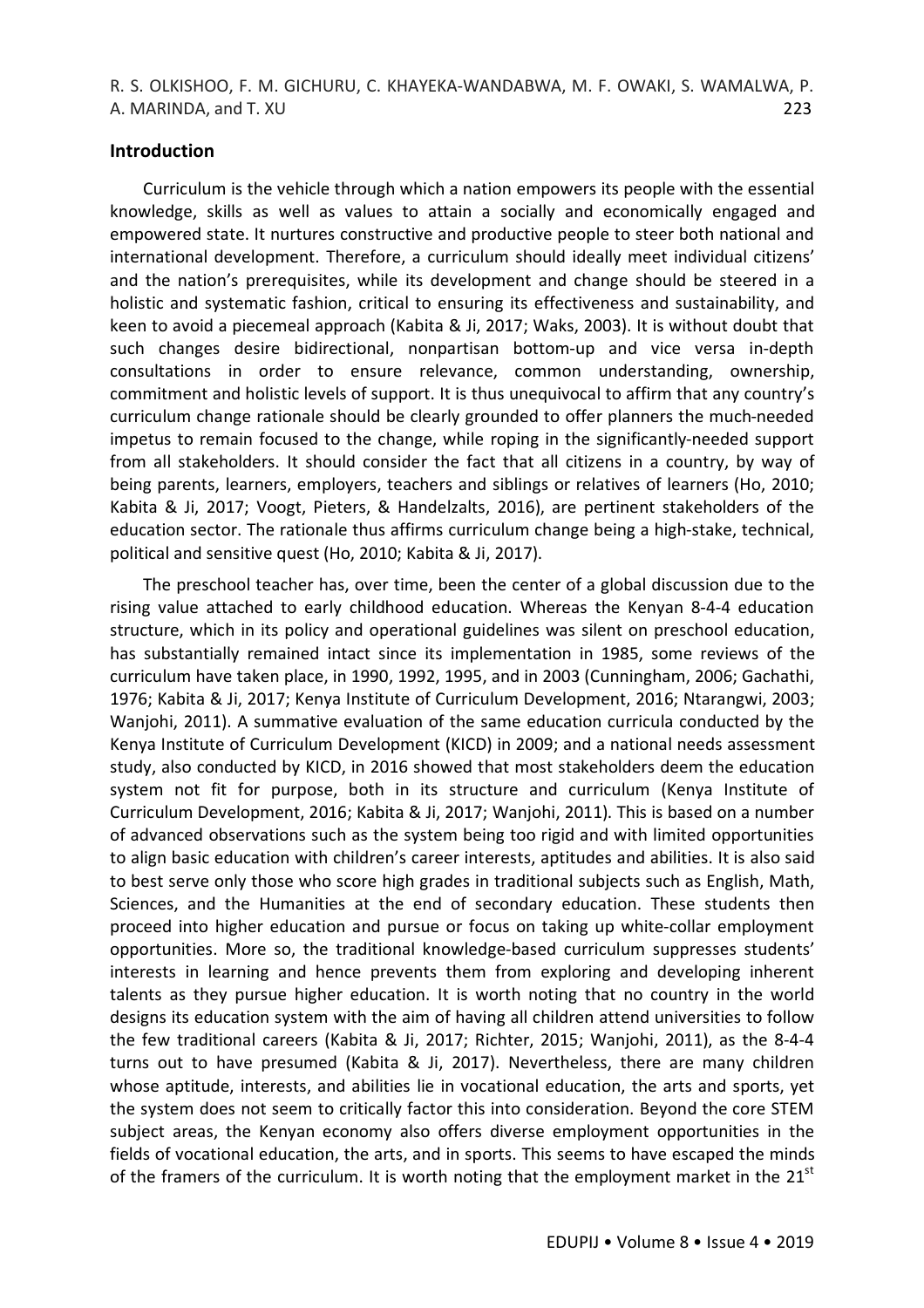### **Introduction**

Curriculum is the vehicle through which a nation empowers its people with the essential knowledge, skills as well as values to attain a socially and economically engaged and empowered state. It nurtures constructive and productive people to steer both national and international development. Therefore, a curriculum should ideally meet individual citizens' and the nation's prerequisites, while its development and change should be steered in a holistic and systematic fashion, critical to ensuring its effectiveness and sustainability, and keen to avoid a piecemeal approach (Kabita & Ji, 2017; Waks, 2003). It is without doubt that such changes desire bidirectional, nonpartisan bottom-up and vice versa in-depth consultations in order to ensure relevance, common understanding, ownership, commitment and holistic levels of support. It is thus unequivocal to affirm that any country's curriculum change rationale should be clearly grounded to offer planners the much-needed impetus to remain focused to the change, while roping in the significantly-needed support from all stakeholders. It should consider the fact that all citizens in a country, by way of being parents, learners, employers, teachers and siblings or relatives of learners (Ho, 2010; Kabita & Ji, 2017; Voogt, Pieters, & Handelzalts, 2016), are pertinent stakeholders of the education sector. The rationale thus affirms curriculum change being a high-stake, technical, political and sensitive quest (Ho, 2010; Kabita & Ji, 2017).

The preschool teacher has, over time, been the center of a global discussion due to the rising value attached to early childhood education. Whereas the Kenyan 8-4-4 education structure, which in its policy and operational guidelines was silent on preschool education, has substantially remained intact since its implementation in 1985, some reviews of the curriculum have taken place, in 1990, 1992, 1995, and in 2003 (Cunningham, 2006; Gachathi, 1976; Kabita & Ji, 2017; Kenya Institute of Curriculum Development, 2016; Ntarangwi, 2003; Wanjohi, 2011). A summative evaluation of the same education curricula conducted by the Kenya Institute of Curriculum Development (KICD) in 2009; and a national needs assessment study, also conducted by KICD, in 2016 showed that most stakeholders deem the education system not fit for purpose, both in its structure and curriculum (Kenya Institute of Curriculum Development, 2016; Kabita & Ji, 2017; Wanjohi, 2011). This is based on a number of advanced observations such as the system being too rigid and with limited opportunities to align basic education with children's career interests, aptitudes and abilities. It is also said to best serve only those who score high grades in traditional subjects such as English, Math, Sciences, and the Humanities at the end of secondary education. These students then proceed into higher education and pursue or focus on taking up white-collar employment opportunities. More so, the traditional knowledge-based curriculum suppresses students' interests in learning and hence prevents them from exploring and developing inherent talents as they pursue higher education. It is worth noting that no country in the world designs its education system with the aim of having all children attend universities to follow the few traditional careers (Kabita & Ji, 2017; Richter, 2015; Wanjohi, 2011), as the 8-4-4 turns out to have presumed (Kabita & Ji, 2017). Nevertheless, there are many children whose aptitude, interests, and abilities lie in vocational education, the arts and sports, yet the system does not seem to critically factor this into consideration. Beyond the core STEM subject areas, the Kenyan economy also offers diverse employment opportunities in the fields of vocational education, the arts, and in sports. This seems to have escaped the minds of the framers of the curriculum. It is worth noting that the employment market in the  $21<sup>st</sup>$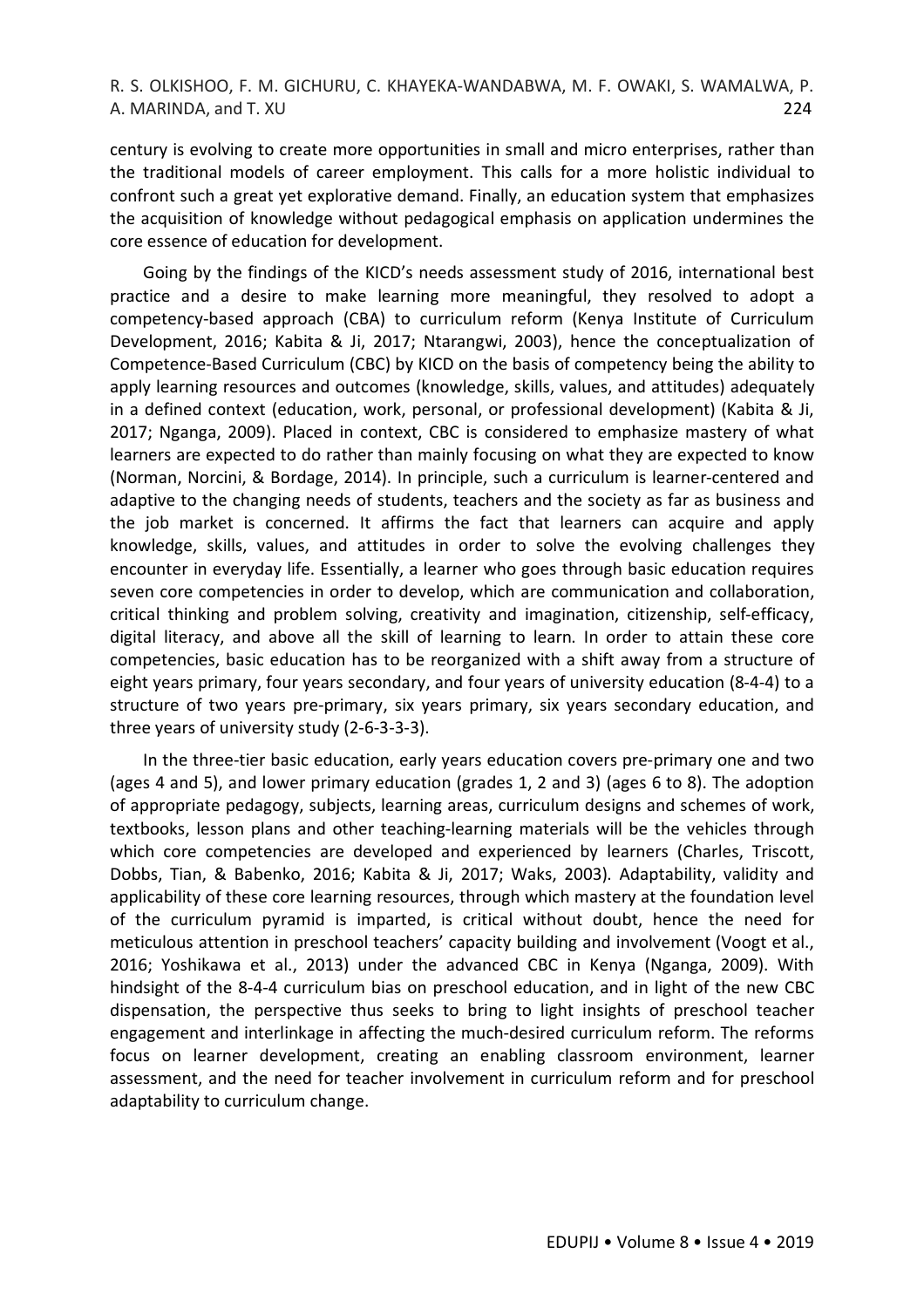century is evolving to create more opportunities in small and micro enterprises, rather than the traditional models of career employment. This calls for a more holistic individual to confront such a great yet explorative demand. Finally, an education system that emphasizes the acquisition of knowledge without pedagogical emphasis on application undermines the core essence of education for development.

Going by the findings of the KICD's needs assessment study of 2016, international best practice and a desire to make learning more meaningful, they resolved to adopt a competency-based approach (CBA) to curriculum reform (Kenya Institute of Curriculum Development, 2016; Kabita & Ji, 2017; Ntarangwi, 2003), hence the conceptualization of Competence-Based Curriculum (CBC) by KICD on the basis of competency being the ability to apply learning resources and outcomes (knowledge, skills, values, and attitudes) adequately in a defined context (education, work, personal, or professional development) (Kabita & Ji, 2017; Nganga, 2009). Placed in context, CBC is considered to emphasize mastery of what learners are expected to do rather than mainly focusing on what they are expected to know (Norman, Norcini, & Bordage, 2014). In principle, such a curriculum is learner-centered and adaptive to the changing needs of students, teachers and the society as far as business and the job market is concerned. It affirms the fact that learners can acquire and apply knowledge, skills, values, and attitudes in order to solve the evolving challenges they encounter in everyday life. Essentially, a learner who goes through basic education requires seven core competencies in order to develop, which are communication and collaboration, critical thinking and problem solving, creativity and imagination, citizenship, self-efficacy, digital literacy, and above all the skill of learning to learn. In order to attain these core competencies, basic education has to be reorganized with a shift away from a structure of eight years primary, four years secondary, and four years of university education (8-4-4) to a structure of two years pre-primary, six years primary, six years secondary education, and three years of university study (2-6-3-3-3).

In the three-tier basic education, early years education covers pre-primary one and two (ages 4 and 5), and lower primary education (grades 1, 2 and 3) (ages 6 to 8). The adoption of appropriate pedagogy, subjects, learning areas, curriculum designs and schemes of work, textbooks, lesson plans and other teaching-learning materials will be the vehicles through which core competencies are developed and experienced by learners (Charles, Triscott, Dobbs, Tian, & Babenko, 2016; Kabita & Ji, 2017; Waks, 2003). Adaptability, validity and applicability of these core learning resources, through which mastery at the foundation level of the curriculum pyramid is imparted, is critical without doubt, hence the need for meticulous attention in preschool teachers' capacity building and involvement (Voogt et al., 2016; Yoshikawa et al., 2013) under the advanced CBC in Kenya (Nganga, 2009). With hindsight of the 8-4-4 curriculum bias on preschool education, and in light of the new CBC dispensation, the perspective thus seeks to bring to light insights of preschool teacher engagement and interlinkage in affecting the much-desired curriculum reform. The reforms focus on learner development, creating an enabling classroom environment, learner assessment, and the need for teacher involvement in curriculum reform and for preschool adaptability to curriculum change.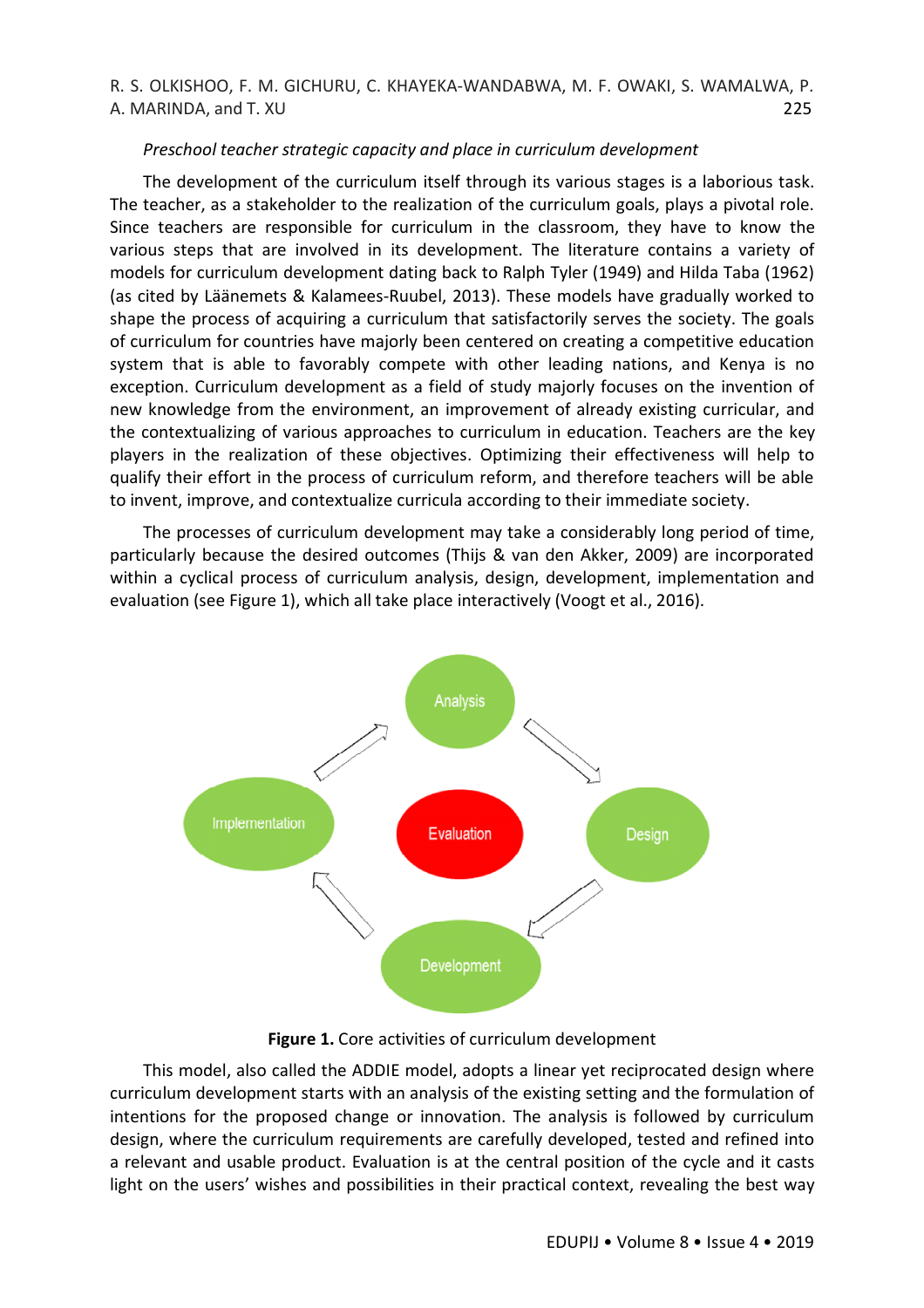#### *Preschool teacher strategic capacity and place in curriculum development*

The development of the curriculum itself through its various stages is a laborious task. The teacher, as a stakeholder to the realization of the curriculum goals, plays a pivotal role. Since teachers are responsible for curriculum in the classroom, they have to know the various steps that are involved in its development. The literature contains a variety of models for curriculum development dating back to Ralph Tyler (1949) and Hilda Taba (1962) (as cited by Läänemets & Kalamees-Ruubel, 2013). These models have gradually worked to shape the process of acquiring a curriculum that satisfactorily serves the society. The goals of curriculum for countries have majorly been centered on creating a competitive education system that is able to favorably compete with other leading nations, and Kenya is no exception. Curriculum development as a field of study majorly focuses on the invention of new knowledge from the environment, an improvement of already existing curricular, and the contextualizing of various approaches to curriculum in education. Teachers are the key players in the realization of these objectives. Optimizing their effectiveness will help to qualify their effort in the process of curriculum reform, and therefore teachers will be able to invent, improve, and contextualize curricula according to their immediate society.

The processes of curriculum development may take a considerably long period of time, particularly because the desired outcomes (Thijs & van den Akker, 2009) are incorporated within a cyclical process of curriculum analysis, design, development, implementation and evaluation (see Figure 1), which all take place interactively (Voogt et al., 2016).



**Figure 1.** Core activities of curriculum development

This model, also called the ADDIE model, adopts a linear yet reciprocated design where curriculum development starts with an analysis of the existing setting and the formulation of intentions for the proposed change or innovation. The analysis is followed by curriculum design, where the curriculum requirements are carefully developed, tested and refined into a relevant and usable product. Evaluation is at the central position of the cycle and it casts light on the users' wishes and possibilities in their practical context, revealing the best way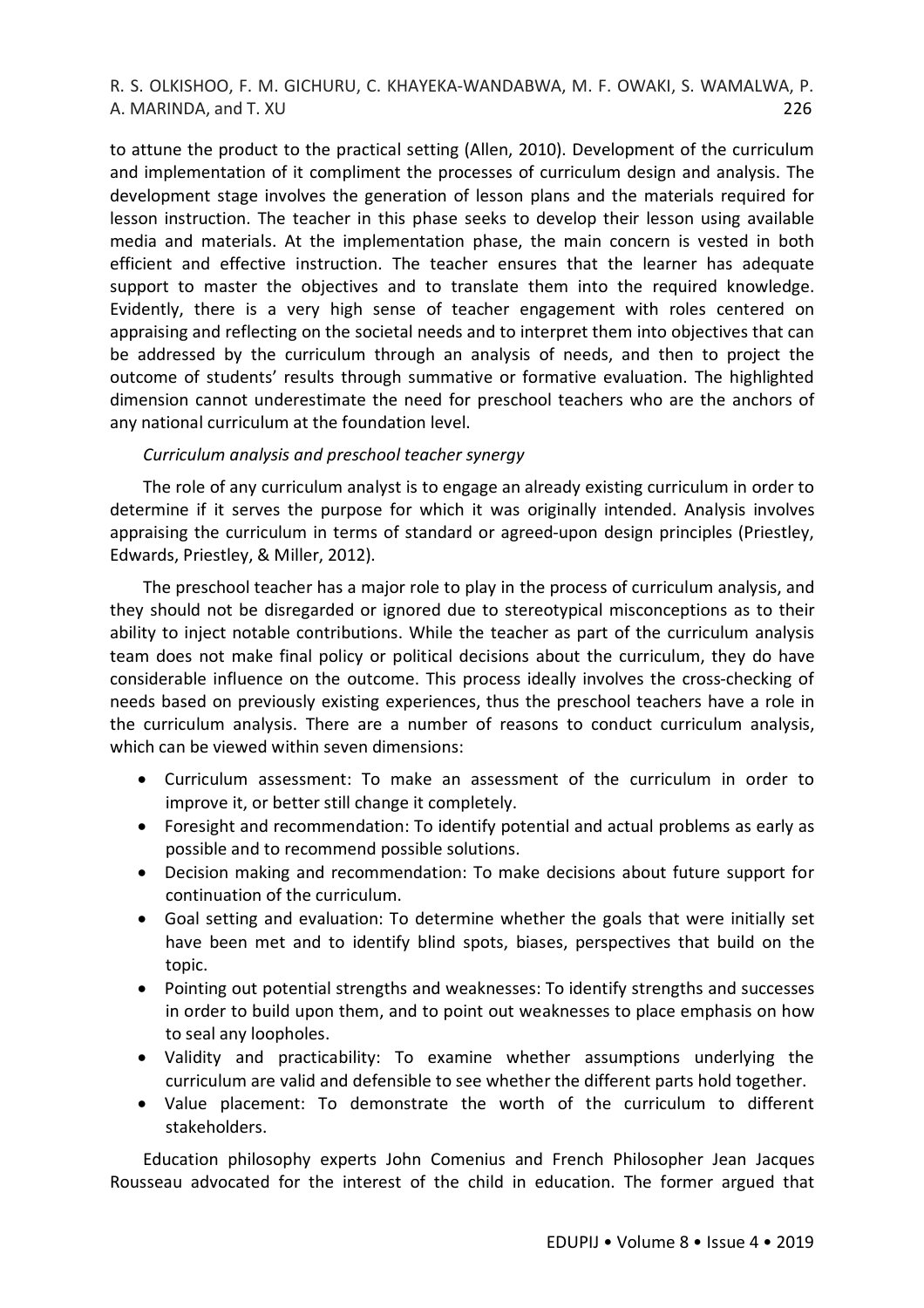to attune the product to the practical setting (Allen, 2010). Development of the curriculum and implementation of it compliment the processes of curriculum design and analysis. The development stage involves the generation of lesson plans and the materials required for lesson instruction. The teacher in this phase seeks to develop their lesson using available media and materials. At the implementation phase, the main concern is vested in both efficient and effective instruction. The teacher ensures that the learner has adequate support to master the objectives and to translate them into the required knowledge. Evidently, there is a very high sense of teacher engagement with roles centered on appraising and reflecting on the societal needs and to interpret them into objectives that can be addressed by the curriculum through an analysis of needs, and then to project the outcome of students' results through summative or formative evaluation. The highlighted dimension cannot underestimate the need for preschool teachers who are the anchors of any national curriculum at the foundation level.

## *Curriculum analysis and preschool teacher synergy*

The role of any curriculum analyst is to engage an already existing curriculum in order to determine if it serves the purpose for which it was originally intended. Analysis involves appraising the curriculum in terms of standard or agreed-upon design principles (Priestley, Edwards, Priestley, & Miller, 2012).

The preschool teacher has a major role to play in the process of curriculum analysis, and they should not be disregarded or ignored due to stereotypical misconceptions as to their ability to inject notable contributions. While the teacher as part of the curriculum analysis team does not make final policy or political decisions about the curriculum, they do have considerable influence on the outcome. This process ideally involves the cross-checking of needs based on previously existing experiences, thus the preschool teachers have a role in the curriculum analysis. There are a number of reasons to conduct curriculum analysis, which can be viewed within seven dimensions:

- Curriculum assessment: To make an assessment of the curriculum in order to improve it, or better still change it completely.
- Foresight and recommendation: To identify potential and actual problems as early as possible and to recommend possible solutions.
- Decision making and recommendation: To make decisions about future support for continuation of the curriculum.
- Goal setting and evaluation: To determine whether the goals that were initially set have been met and to identify blind spots, biases, perspectives that build on the topic.
- Pointing out potential strengths and weaknesses: To identify strengths and successes in order to build upon them, and to point out weaknesses to place emphasis on how to seal any loopholes.
- Validity and practicability: To examine whether assumptions underlying the curriculum are valid and defensible to see whether the different parts hold together.
- Value placement: To demonstrate the worth of the curriculum to different stakeholders.

Education philosophy experts John Comenius and French Philosopher Jean Jacques Rousseau advocated for the interest of the child in education. The former argued that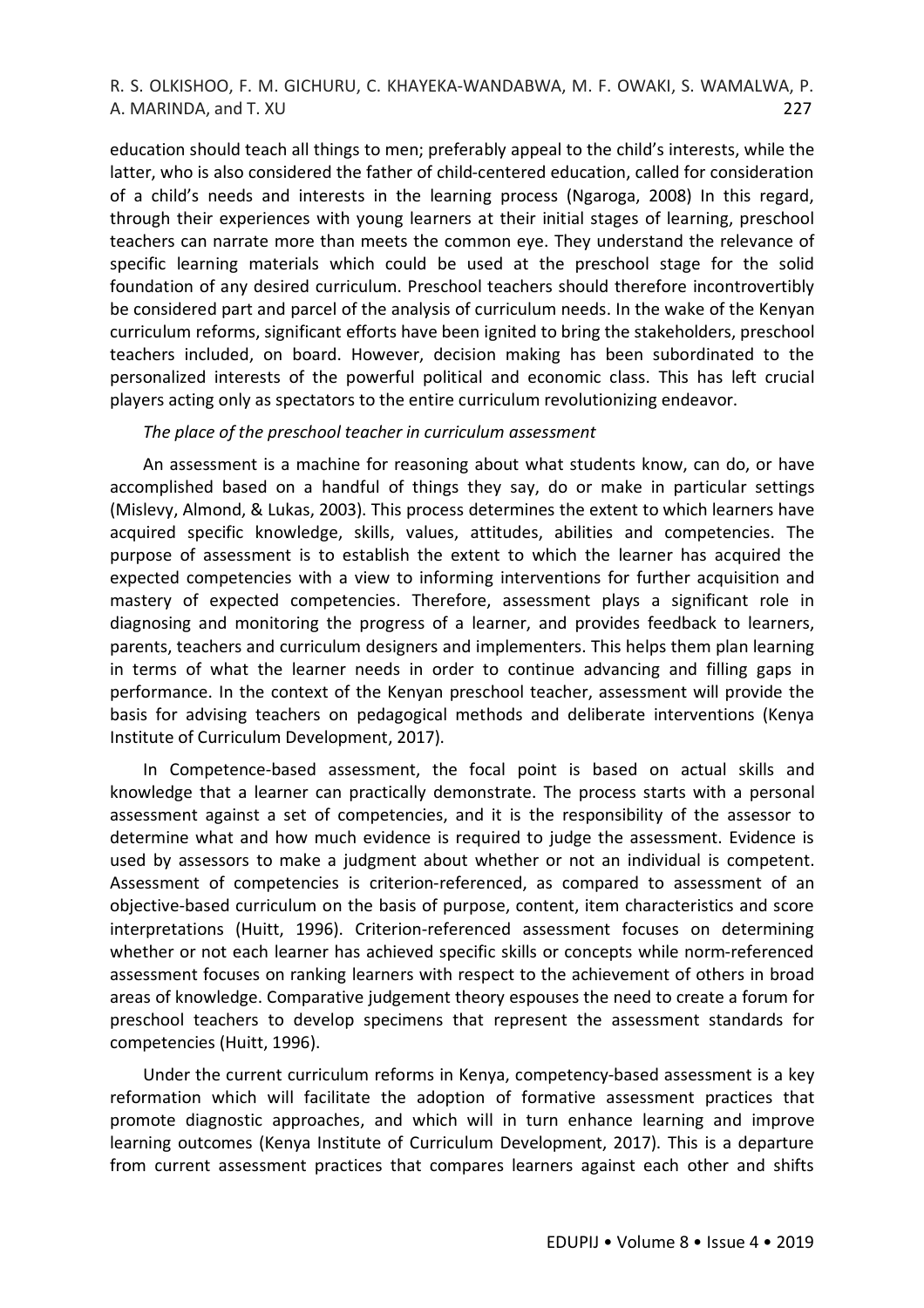education should teach all things to men; preferably appeal to the child's interests, while the latter, who is also considered the father of child-centered education, called for consideration of a child's needs and interests in the learning process (Ngaroga, 2008) In this regard, through their experiences with young learners at their initial stages of learning, preschool teachers can narrate more than meets the common eye. They understand the relevance of specific learning materials which could be used at the preschool stage for the solid foundation of any desired curriculum. Preschool teachers should therefore incontrovertibly be considered part and parcel of the analysis of curriculum needs. In the wake of the Kenyan curriculum reforms, significant efforts have been ignited to bring the stakeholders, preschool teachers included, on board. However, decision making has been subordinated to the personalized interests of the powerful political and economic class. This has left crucial players acting only as spectators to the entire curriculum revolutionizing endeavor.

#### *The place of the preschool teacher in curriculum assessment*

An assessment is a machine for reasoning about what students know, can do, or have accomplished based on a handful of things they say, do or make in particular settings (Mislevy, Almond, & Lukas, 2003). This process determines the extent to which learners have acquired specific knowledge, skills, values, attitudes, abilities and competencies. The purpose of assessment is to establish the extent to which the learner has acquired the expected competencies with a view to informing interventions for further acquisition and mastery of expected competencies. Therefore, assessment plays a significant role in diagnosing and monitoring the progress of a learner, and provides feedback to learners, parents, teachers and curriculum designers and implementers. This helps them plan learning in terms of what the learner needs in order to continue advancing and filling gaps in performance. In the context of the Kenyan preschool teacher, assessment will provide the basis for advising teachers on pedagogical methods and deliberate interventions (Kenya Institute of Curriculum Development, 2017).

In Competence-based assessment, the focal point is based on actual skills and knowledge that a learner can practically demonstrate. The process starts with a personal assessment against a set of competencies, and it is the responsibility of the assessor to determine what and how much evidence is required to judge the assessment. Evidence is used by assessors to make a judgment about whether or not an individual is competent. Assessment of competencies is criterion-referenced, as compared to assessment of an objective-based curriculum on the basis of purpose, content, item characteristics and score interpretations (Huitt, 1996). Criterion-referenced assessment focuses on determining whether or not each learner has achieved specific skills or concepts while norm-referenced assessment focuses on ranking learners with respect to the achievement of others in broad areas of knowledge. Comparative judgement theory espouses the need to create a forum for preschool teachers to develop specimens that represent the assessment standards for competencies (Huitt, 1996).

Under the current curriculum reforms in Kenya, competency-based assessment is a key reformation which will facilitate the adoption of formative assessment practices that promote diagnostic approaches, and which will in turn enhance learning and improve learning outcomes (Kenya Institute of Curriculum Development, 2017). This is a departure from current assessment practices that compares learners against each other and shifts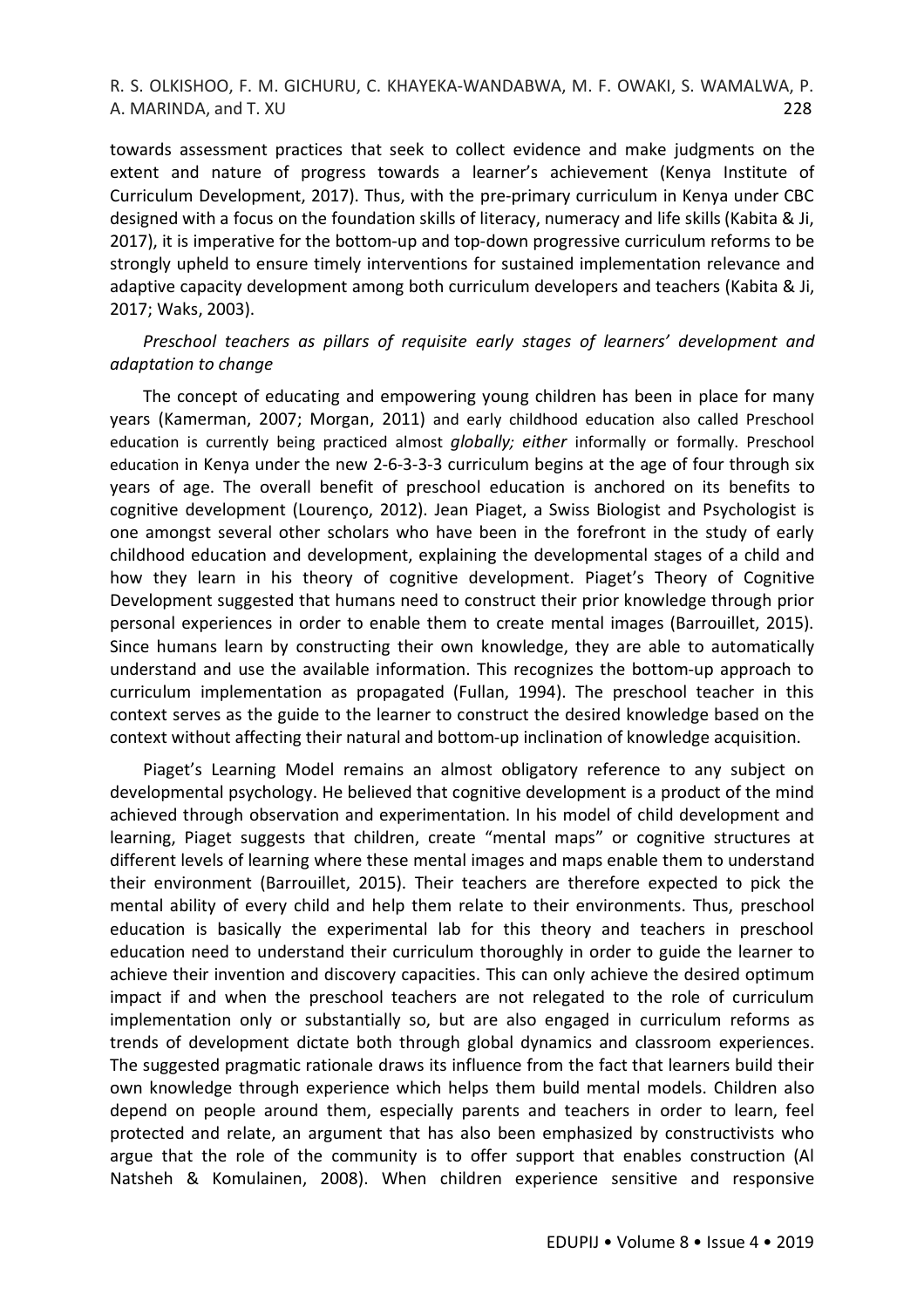towards assessment practices that seek to collect evidence and make judgments on the extent and nature of progress towards a learner's achievement (Kenya Institute of Curriculum Development, 2017). Thus, with the pre-primary curriculum in Kenya under CBC designed with a focus on the foundation skills of literacy, numeracy and life skills (Kabita & Ji, 2017), it is imperative for the bottom-up and top-down progressive curriculum reforms to be strongly upheld to ensure timely interventions for sustained implementation relevance and adaptive capacity development among both curriculum developers and teachers (Kabita & Ji, 2017; Waks, 2003).

*Preschool teachers as pillars of requisite early stages of learners' development and adaptation to change*

The concept of educating and empowering young children has been in place for many years (Kamerman, 2007; Morgan, 2011) and early childhood education also called Preschool education is currently being practiced almost *globally; either* informally or formally. Preschool education in Kenya under the new 2-6-3-3-3 curriculum begins at the age of four through six years of age. The overall benefit of preschool education is anchored on its benefits to cognitive development (Lourenço, 2012). Jean Piaget, a Swiss Biologist and Psychologist is one amongst several other scholars who have been in the forefront in the study of early childhood education and development, explaining the developmental stages of a child and how they learn in his theory of cognitive development. Piaget's Theory of Cognitive Development suggested that humans need to construct their prior knowledge through prior personal experiences in order to enable them to create mental images (Barrouillet, 2015). Since humans learn by constructing their own knowledge, they are able to automatically understand and use the available information. This recognizes the bottom-up approach to curriculum implementation as propagated (Fullan, 1994). The preschool teacher in this context serves as the guide to the learner to construct the desired knowledge based on the context without affecting their natural and bottom-up inclination of knowledge acquisition.

Piaget's Learning Model remains an almost obligatory reference to any subject on developmental psychology. He believed that cognitive development is a product of the mind achieved through observation and experimentation. In his model of child development and learning, Piaget suggests that children, create "mental maps" or cognitive structures at different levels of learning where these mental images and maps enable them to understand their environment (Barrouillet, 2015). Their teachers are therefore expected to pick the mental ability of every child and help them relate to their environments. Thus, preschool education is basically the experimental lab for this theory and teachers in preschool education need to understand their curriculum thoroughly in order to guide the learner to achieve their invention and discovery capacities. This can only achieve the desired optimum impact if and when the preschool teachers are not relegated to the role of curriculum implementation only or substantially so, but are also engaged in curriculum reforms as trends of development dictate both through global dynamics and classroom experiences. The suggested pragmatic rationale draws its influence from the fact that learners build their own knowledge through experience which helps them build mental models. Children also depend on people around them, especially parents and teachers in order to learn, feel protected and relate, an argument that has also been emphasized by constructivists who argue that the role of the community is to offer support that enables construction (Al Natsheh & Komulainen, 2008). When children experience sensitive and responsive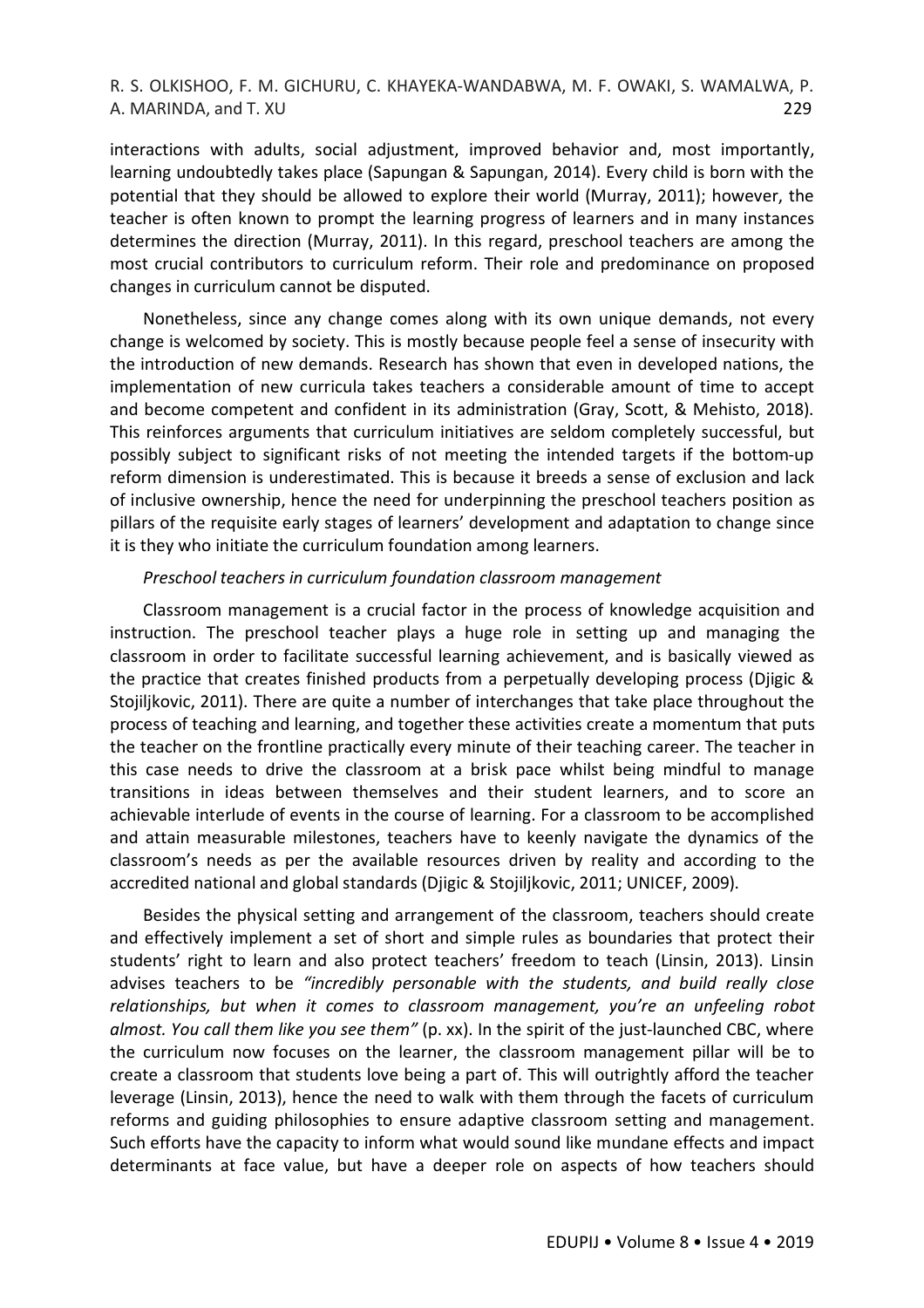interactions with adults, social adjustment, improved behavior and, most importantly, learning undoubtedly takes place (Sapungan & Sapungan, 2014). Every child is born with the potential that they should be allowed to explore their world (Murray, 2011); however, the teacher is often known to prompt the learning progress of learners and in many instances determines the direction (Murray, 2011). In this regard, preschool teachers are among the most crucial contributors to curriculum reform. Their role and predominance on proposed changes in curriculum cannot be disputed.

Nonetheless, since any change comes along with its own unique demands, not every change is welcomed by society. This is mostly because people feel a sense of insecurity with the introduction of new demands. Research has shown that even in developed nations, the implementation of new curricula takes teachers a considerable amount of time to accept and become competent and confident in its administration (Gray, Scott, & Mehisto, 2018). This reinforces arguments that curriculum initiatives are seldom completely successful, but possibly subject to significant risks of not meeting the intended targets if the bottom-up reform dimension is underestimated. This is because it breeds a sense of exclusion and lack of inclusive ownership, hence the need for underpinning the preschool teachers position as pillars of the requisite early stages of learners' development and adaptation to change since it is they who initiate the curriculum foundation among learners.

#### *Preschool teachers in curriculum foundation classroom management*

Classroom management is a crucial factor in the process of knowledge acquisition and instruction. The preschool teacher plays a huge role in setting up and managing the classroom in order to facilitate successful learning achievement, and is basically viewed as the practice that creates finished products from a perpetually developing process (Djigic & Stojiljkovic, 2011). There are quite a number of interchanges that take place throughout the process of teaching and learning, and together these activities create a momentum that puts the teacher on the frontline practically every minute of their teaching career. The teacher in this case needs to drive the classroom at a brisk pace whilst being mindful to manage transitions in ideas between themselves and their student learners, and to score an achievable interlude of events in the course of learning. For a classroom to be accomplished and attain measurable milestones, teachers have to keenly navigate the dynamics of the classroom's needs as per the available resources driven by reality and according to the accredited national and global standards (Djigic & Stojiljkovic, 2011; UNICEF, 2009).

Besides the physical setting and arrangement of the classroom, teachers should create and effectively implement a set of short and simple rules as boundaries that protect their students' right to learn and also protect teachers' freedom to teach (Linsin, 2013). Linsin advises teachers to be *"incredibly personable with the students, and build really close relationships, but when it comes to classroom management, you're an unfeeling robot almost. You call them like you see them"* (p. xx). In the spirit of the just-launched CBC, where the curriculum now focuses on the learner, the classroom management pillar will be to create a classroom that students love being a part of. This will outrightly afford the teacher leverage (Linsin, 2013), hence the need to walk with them through the facets of curriculum reforms and guiding philosophies to ensure adaptive classroom setting and management. Such efforts have the capacity to inform what would sound like mundane effects and impact determinants at face value, but have a deeper role on aspects of how teachers should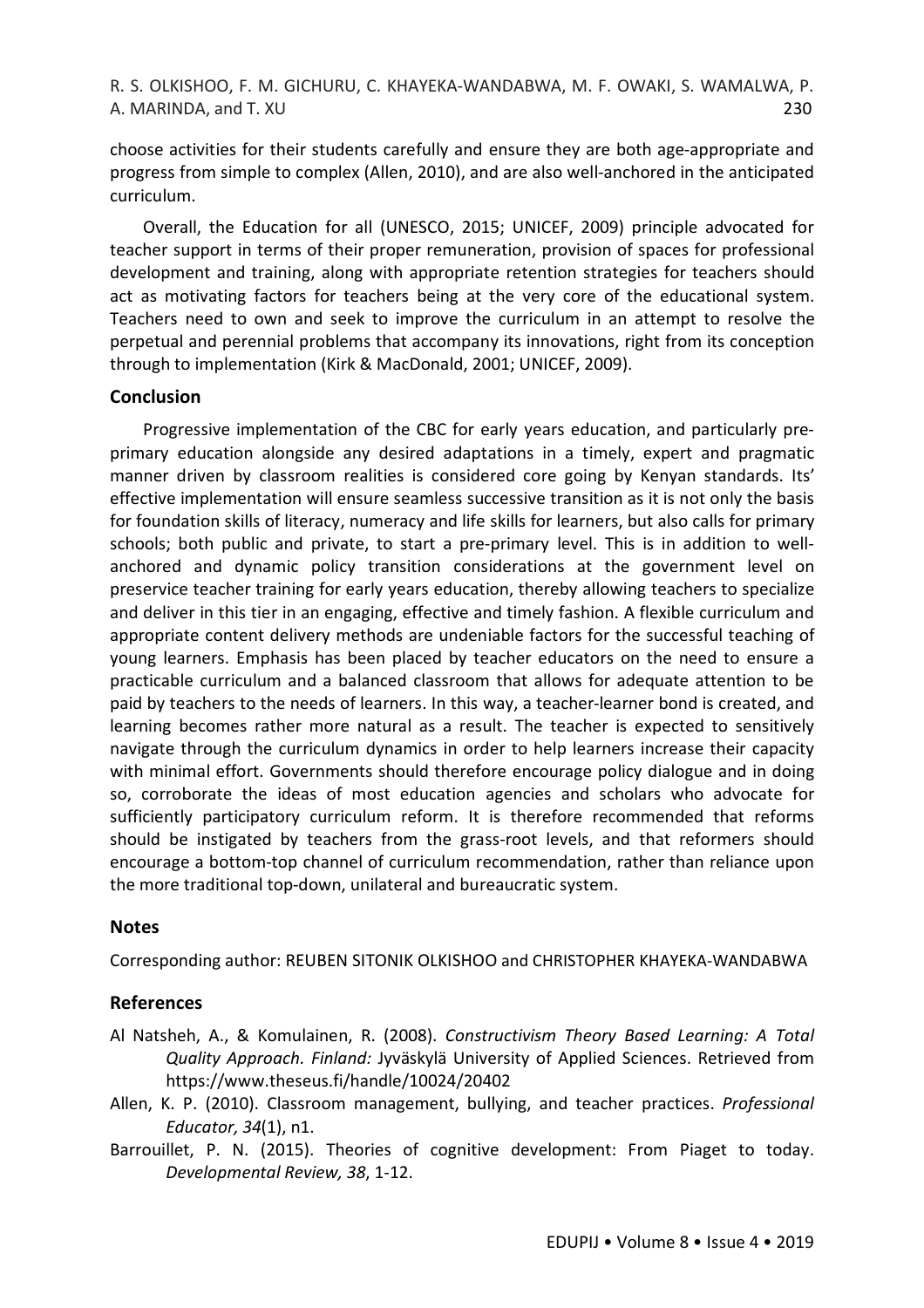choose activities for their students carefully and ensure they are both age-appropriate and progress from simple to complex (Allen, 2010), and are also well-anchored in the anticipated curriculum.

Overall, the Education for all (UNESCO, 2015; UNICEF, 2009) principle advocated for teacher support in terms of their proper remuneration, provision of spaces for professional development and training, along with appropriate retention strategies for teachers should act as motivating factors for teachers being at the very core of the educational system. Teachers need to own and seek to improve the curriculum in an attempt to resolve the perpetual and perennial problems that accompany its innovations, right from its conception through to implementation (Kirk & MacDonald, 2001; UNICEF, 2009).

## **Conclusion**

Progressive implementation of the CBC for early years education, and particularly preprimary education alongside any desired adaptations in a timely, expert and pragmatic manner driven by classroom realities is considered core going by Kenyan standards. Its' effective implementation will ensure seamless successive transition as it is not only the basis for foundation skills of literacy, numeracy and life skills for learners, but also calls for primary schools; both public and private, to start a pre-primary level. This is in addition to wellanchored and dynamic policy transition considerations at the government level on preservice teacher training for early years education, thereby allowing teachers to specialize and deliver in this tier in an engaging, effective and timely fashion. A flexible curriculum and appropriate content delivery methods are undeniable factors for the successful teaching of young learners. Emphasis has been placed by teacher educators on the need to ensure a practicable curriculum and a balanced classroom that allows for adequate attention to be paid by teachers to the needs of learners. In this way, a teacher-learner bond is created, and learning becomes rather more natural as a result. The teacher is expected to sensitively navigate through the curriculum dynamics in order to help learners increase their capacity with minimal effort. Governments should therefore encourage policy dialogue and in doing so, corroborate the ideas of most education agencies and scholars who advocate for sufficiently participatory curriculum reform. It is therefore recommended that reforms should be instigated by teachers from the grass-root levels, and that reformers should encourage a bottom-top channel of curriculum recommendation, rather than reliance upon the more traditional top-down, unilateral and bureaucratic system.

## **Notes**

Corresponding author: REUBEN SITONIK OLKISHOO and CHRISTOPHER KHAYEKA-WANDABWA

## **References**

- Al Natsheh, A., & Komulainen, R. (2008). *Constructivism Theory Based Learning: A Total Quality Approach. Finland:* Jyväskylä University of Applied Sciences. Retrieved from https://www.theseus.fi/handle/10024/20402
- Allen, K. P. (2010). Classroom management, bullying, and teacher practices. *Professional Educator, 34*(1), n1.
- Barrouillet, P. N. (2015). Theories of cognitive development: From Piaget to today. *Developmental Review, 38*, 1-12.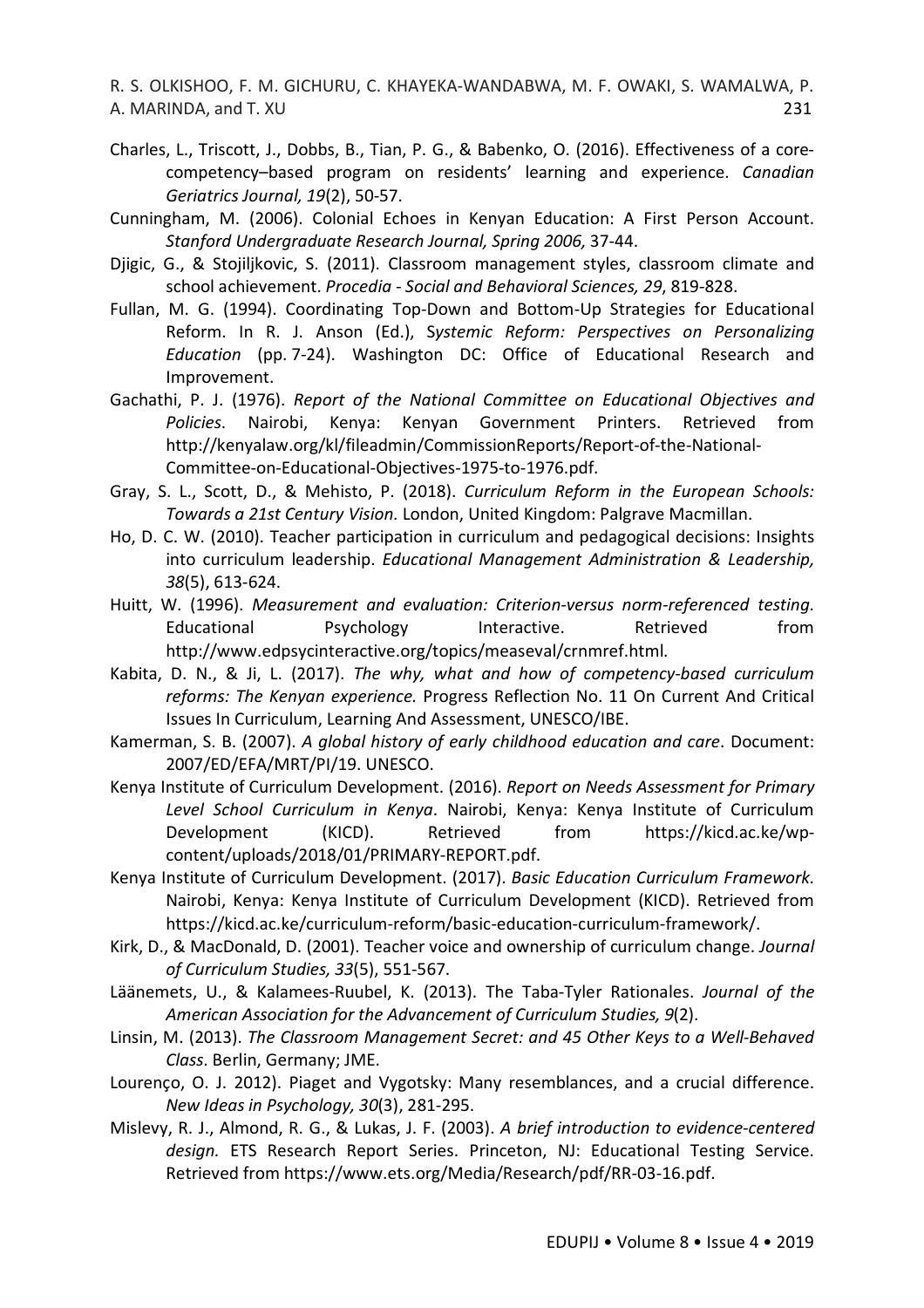- Charles, L., Triscott, J., Dobbs, B., Tian, P. G., & Babenko, O. (2016). Effectiveness of a corecompetency–based program on residents' learning and experience. *Canadian Geriatrics Journal, 19*(2), 50-57.
- Cunningham, M. (2006). Colonial Echoes in Kenyan Education: A First Person Account. *Stanford Undergraduate Research Journal, Spring 2006,* 37-44.
- Djigic, G., & Stojiljkovic, S. (2011). Classroom management styles, classroom climate and school achievement. *Procedia - Social and Behavioral Sciences, 29*, 819-828.
- Fullan, M. G. (1994). Coordinating Top-Down and Bottom-Up Strategies for Educational Reform. In R. J. Anson (Ed.), S*ystemic Reform: Perspectives on Personalizing Education* (pp. 7-24). Washington DC: Office of Educational Research and Improvement.
- Gachathi, P. J. (1976). *Report of the National Committee on Educational Objectives and Policies*. Nairobi, Kenya: Kenyan Government Printers. Retrieved from http://kenyalaw.org/kl/fileadmin/CommissionReports/Report-of-the-National-Committee-on-Educational-Objectives-1975-to-1976.pdf.
- Gray, S. L., Scott, D., & Mehisto, P. (2018). *Curriculum Reform in the European Schools: Towards a 21st Century Vision.* London, United Kingdom: Palgrave Macmillan.
- Ho, D. C. W. (2010). Teacher participation in curriculum and pedagogical decisions: Insights into curriculum leadership. *Educational Management Administration & Leadership, 38*(5), 613-624.
- Huitt, W. (1996). *Measurement and evaluation: Criterion-versus norm-referenced testing*. Educational Psychology Interactive. Retrieved from http://www.edpsycinteractive.org/topics/measeval/crnmref.html.
- Kabita, D. N., & Ji, L. (2017). *The why, what and how of competency-based curriculum reforms: The Kenyan experience.* Progress Reflection No. 11 On Current And Critical Issues In Curriculum, Learning And Assessment, UNESCO/IBE.
- Kamerman, S. B. (2007). *A global history of early childhood education and care*. Document: 2007/ED/EFA/MRT/PI/19. UNESCO.
- Kenya Institute of Curriculum Development. (2016). *Report on Needs Assessment for Primary Level School Curriculum in Kenya*. Nairobi, Kenya: Kenya Institute of Curriculum Development (KICD). Retrieved from https://kicd.ac.ke/wpcontent/uploads/2018/01/PRIMARY-REPORT.pdf.
- Kenya Institute of Curriculum Development. (2017). *Basic Education Curriculum Framework.*  Nairobi, Kenya: Kenya Institute of Curriculum Development (KICD). Retrieved from https://kicd.ac.ke/curriculum-reform/basic-education-curriculum-framework/.
- Kirk, D., & MacDonald, D. (2001). Teacher voice and ownership of curriculum change. *Journal of Curriculum Studies, 33*(5), 551-567.
- Läänemets, U., & Kalamees-Ruubel, K. (2013). The Taba-Tyler Rationales. *Journal of the American Association for the Advancement of Curriculum Studies, 9*(2).
- Linsin, M. (2013). *The Classroom Management Secret: and 45 Other Keys to a Well-Behaved Class*. Berlin, Germany; JME.
- Lourenço, O. J. 2012). Piaget and Vygotsky: Many resemblances, and a crucial difference. *New Ideas in Psychology, 30*(3), 281-295.
- Mislevy, R. J., Almond, R. G., & Lukas, J. F. (2003). *A brief introduction to evidence-centered design.* ETS Research Report Series. Princeton, NJ: Educational Testing Service. Retrieved from https://www.ets.org/Media/Research/pdf/RR-03-16.pdf.